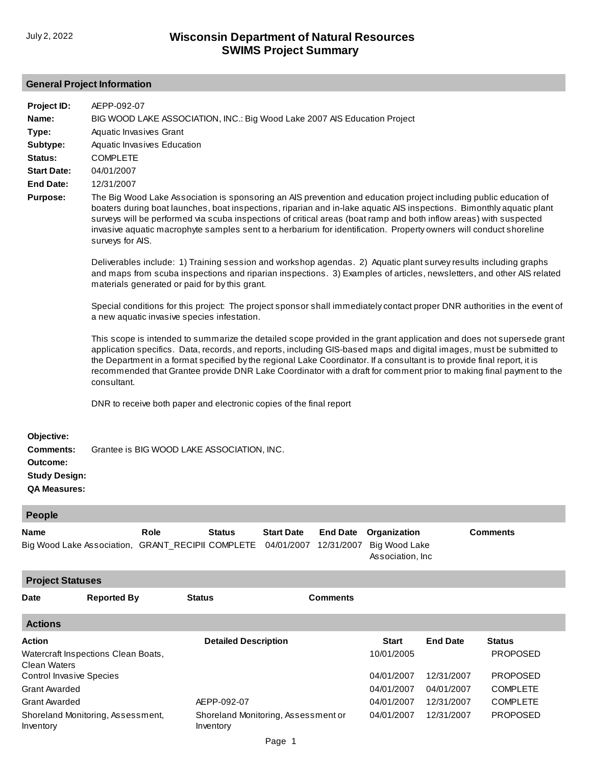## **General Project Information**

| Project ID:                                                                               | AEPP-092-07                                                                                                                                                                                                                                                                                                                                                                                                                                                                                                     |
|-------------------------------------------------------------------------------------------|-----------------------------------------------------------------------------------------------------------------------------------------------------------------------------------------------------------------------------------------------------------------------------------------------------------------------------------------------------------------------------------------------------------------------------------------------------------------------------------------------------------------|
| Name:                                                                                     | BIG WOOD LAKE ASSOCIATION, INC.: Big Wood Lake 2007 AIS Education Project                                                                                                                                                                                                                                                                                                                                                                                                                                       |
| Type:                                                                                     | Aquatic Invasives Grant                                                                                                                                                                                                                                                                                                                                                                                                                                                                                         |
| Subtype:                                                                                  | Aquatic Invasives Education                                                                                                                                                                                                                                                                                                                                                                                                                                                                                     |
| Status:                                                                                   | <b>COMPLETE</b>                                                                                                                                                                                                                                                                                                                                                                                                                                                                                                 |
| <b>Start Date:</b>                                                                        | 04/01/2007                                                                                                                                                                                                                                                                                                                                                                                                                                                                                                      |
| <b>End Date:</b>                                                                          | 12/31/2007                                                                                                                                                                                                                                                                                                                                                                                                                                                                                                      |
| Purpose:                                                                                  | The Big Wood Lake Association is sponsoring an AIS prevention and education project including public education of<br>boaters during boat launches, boat inspections, riparian and in-lake aquatic AIS inspections. Bimonthly aquatic plant<br>surveys will be performed via scuba inspections of critical areas (boat ramp and both inflow areas) with suspected<br>invasive aquatic macrophyte samples sent to a herbarium for identification. Property owners will conduct shoreline<br>surveys for AIS.      |
|                                                                                           | Deliverables include: 1) Training session and workshop agendas. 2) Aquatic plant survey results including graphs<br>and maps from scuba inspections and riparian inspections. 3) Examples of articles, newsletters, and other AIS related<br>materials generated or paid for by this grant.                                                                                                                                                                                                                     |
|                                                                                           | Special conditions for this project: The project sponsor shall immediately contact proper DNR authorities in the event of<br>a new aquatic invasive species infestation.                                                                                                                                                                                                                                                                                                                                        |
|                                                                                           | This scope is intended to summarize the detailed scope provided in the grant application and does not supersede grant<br>application specifics. Data, records, and reports, including GIS-based maps and digital images, must be submitted to<br>the Department in a format specified by the regional Lake Coordinator. If a consultant is to provide final report, it is<br>recommended that Grantee provide DNR Lake Coordinator with a draft for comment prior to making final payment to the<br>consultant. |
|                                                                                           | DNR to receive both paper and electronic copies of the final report                                                                                                                                                                                                                                                                                                                                                                                                                                             |
| Objective:<br><b>Comments:</b><br>Outcome:<br><b>Study Design:</b><br><b>QA Measures:</b> | Grantee is BIG WOOD LAKE ASSOCIATION, INC.                                                                                                                                                                                                                                                                                                                                                                                                                                                                      |
| People                                                                                    |                                                                                                                                                                                                                                                                                                                                                                                                                                                                                                                 |

| <b>Name</b>                                         |                    | <b>Role</b> | <b>Status</b><br>Big Wood Lake Association, GRANT_RECIPII COMPLETE | <b>Start Date</b><br>04/01/2007 | <b>End Date</b><br>12/31/2007 | Organization<br>Big Wood Lake |                 | <b>Comments</b> |  |  |  |
|-----------------------------------------------------|--------------------|-------------|--------------------------------------------------------------------|---------------------------------|-------------------------------|-------------------------------|-----------------|-----------------|--|--|--|
|                                                     |                    |             |                                                                    |                                 |                               | Association, Inc.             |                 |                 |  |  |  |
| <b>Project Statuses</b>                             |                    |             |                                                                    |                                 |                               |                               |                 |                 |  |  |  |
| <b>Date</b>                                         | <b>Reported By</b> |             | <b>Status</b>                                                      |                                 | <b>Comments</b>               |                               |                 |                 |  |  |  |
| <b>Actions</b>                                      |                    |             |                                                                    |                                 |                               |                               |                 |                 |  |  |  |
| <b>Action</b>                                       |                    |             | <b>Detailed Description</b>                                        |                                 |                               | <b>Start</b>                  | <b>End Date</b> | <b>Status</b>   |  |  |  |
| Watercraft Inspections Clean Boats,<br>Clean Waters |                    |             |                                                                    |                                 |                               | 10/01/2005                    |                 | <b>PROPOSED</b> |  |  |  |
| <b>Control Invasive Species</b>                     |                    |             |                                                                    |                                 |                               | 04/01/2007                    | 12/31/2007      | <b>PROPOSED</b> |  |  |  |
| <b>Grant Awarded</b>                                |                    |             |                                                                    |                                 |                               | 04/01/2007                    | 04/01/2007      | <b>COMPLETE</b> |  |  |  |
| <b>Grant Awarded</b>                                |                    |             | AEPP-092-07                                                        |                                 |                               | 04/01/2007                    | 12/31/2007      | <b>COMPLETE</b> |  |  |  |
| Shoreland Monitoring, Assessment,<br>Inventory      |                    |             | Shoreland Monitoring, Assessment or<br>Inventory                   |                                 |                               | 04/01/2007                    | 12/31/2007      | <b>PROPOSED</b> |  |  |  |